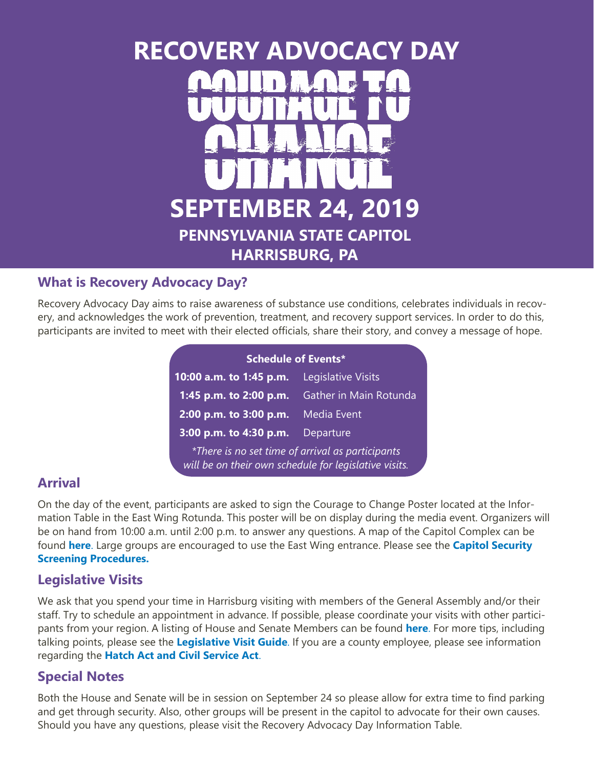# **RECOVERY ADVOCACY DAY SEPTEMBER 24, 2019 PENNSYLVANIA STATE CAPITOL HARRISBURG, PA**

## **What is Recovery Advocacy Day?**

Recovery Advocacy Day aims to raise awareness of substance use conditions, celebrates individuals in recovery, and acknowledges the work of prevention, treatment, and recovery support services. In order to do this, participants are invited to meet with their elected officials, share their story, and convey a message of hope.

| <b>Schedule of Events*</b>                                                                                       |                           |
|------------------------------------------------------------------------------------------------------------------|---------------------------|
| 10:00 a.m. to 1:45 p.m.                                                                                          | <b>Legislative Visits</b> |
| 1:45 p.m. to 2:00 p.m.                                                                                           | Gather in Main Rotunda    |
| 2:00 p.m. to 3:00 p.m.                                                                                           | Media Event               |
| 3:00 p.m. to 4:30 p.m.                                                                                           | Departure                 |
| <i>*There is no set time of arrival as participants</i><br>will be on their own schedule for legislative visits. |                           |

#### **Arrival**

On the day of the event, participants are asked to sign the Courage to Change Poster located at the Information Table in the East Wing Rotunda. This poster will be on display during the media event. Organizers will be on hand from 10:00 a.m. until 2:00 p.m. to answer any questions. A map of the Capitol Complex can be found **[here](http://www.pacdaa.org/RecoveryAdvocacy/RADResources/RAD%20Capitol%20Map.pdf)**. Large groups are encouraged to use the East Wing entrance. Please see the **[Capitol Security](http://www.pacdaa.org/RecoveryAdvocacy/RADResources/RAD%20Capitol%20Security.pdf)  [Screening Procedures.](http://www.pacdaa.org/RecoveryAdvocacy/RADResources/RAD%20Capitol%20Security.pdf)** 

## **Legislative Visits**

We ask that you spend your time in Harrisburg visiting with members of the General Assembly and/or their staff. Try to schedule an appointment in advance. If possible, please coordinate your visits with other participants from your region. A listing of House and Senate Members can be found **[here](http://www.legis.state.pa.us/cfdocs/legis/home/findyourlegislator/)**. For more tips, including talking points, please see the **[Legislative Visit Guide](http://www.pacdaa.org/RecoveryAdvocacy/2019RAD/2019%20RAD%20Legislative%20Visit%20Guide.pdf)**. If you are a county employee, please see information regarding the **[Hatch Act and Civil Service Act](http://www.pacdaa.org/RecoveryAdvocacy/RADResources/RAD%20HA-CSA.pdf)**.

# **Special Notes**

Both the House and Senate will be in session on September 24 so please allow for extra time to find parking and get through security. Also, other groups will be present in the capitol to advocate for their own causes. Should you have any questions, please visit the Recovery Advocacy Day Information Table.